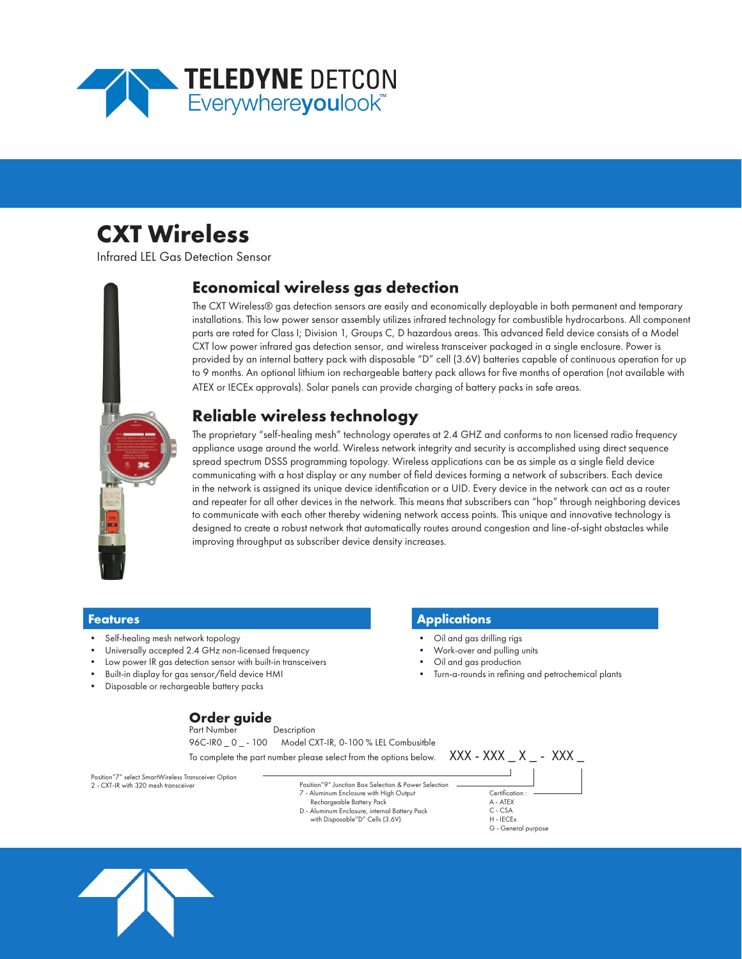

# **CXT Wireless**

Infrared LEL Gas Detection Sensor



### **Economical wireless gas detection**

The CXT Wireless® gas detection sensors are easily and economically deployable in both permanent and temporary installations. This low power sensor assembly utilizes infrared technology for combustible hydrocarbons. All component parts are rated for Class I; Division 1, Groups C, D hazardous areas. This advanced field device consists of a Model CXT low power infrared gas detection sensor, and wireless transceiver packaged in a single enclosure. Power is provided by an internal battery pack with disposable "D" cell (3.6V) batteries capable of continuous operation for up to 9 months. An optional lithium ion rechargeable battery pack allows for five months of operation (not available with ATEX or IECEx approvals). Solar panels can provide charging of battery packs in safe areas.

### **Reliable wireless technology**

The proprietary "self-healing mesh" technology operates at 2.4 GHZ and conforms to non licensed radio frequency appliance usage around the world. Wireless network integrity and security is accomplished using direct sequence spread spectrum DSSS programming topology. Wireless applications can be as simple as a single field device communicating with a host display or any number of field devices forming a network of subscribers. Each device in the network is assigned its unique device identification or a UID. Every device in the network can act as a router and repeater for all other devices in the network. This means that subscribers can "hop" through neighboring devices to communicate with each other thereby widening network access points. This unique and innovative technology is designed to create a robust network that automatically routes around congestion and line-of-sight obstacles while improving throughput as subscriber device density increases.

- Self-healing mesh network topology
- Universally accepted 2.4 GHz non-licensed frequency
- Low power IR gas detection sensor with built-in transceivers
- Built-in display for gas sensor/field device HMI
- Disposable or rechargeable battery packs

## **Order guide**

Description 96C-IR0 \_ 0 \_ - 100 Model CXT-IR, 0-100 % LEL Combusitble

To complete the part number please select from the options below.  $\overline{XXX} - \overline{XXX} - \overline{XXX}$ 

Position"7" select SmartWireless Transceiver Option 2 - CXT-IR with 320 mesh transceiver

#### Position"9" Junction Box Selection & Power Selection 7 - Aluminum Enclosure with High Output Rechargeable Battery Pack D - Aluminum Enclosure, internal Battery Pack with Disposable"D" Cells (3.6V)





**Features Applications**

- Oil and gas drilling rigs
- Work-over and pulling units
- Oil and gas production
- Turn-a-rounds in refining and petrochemical plants